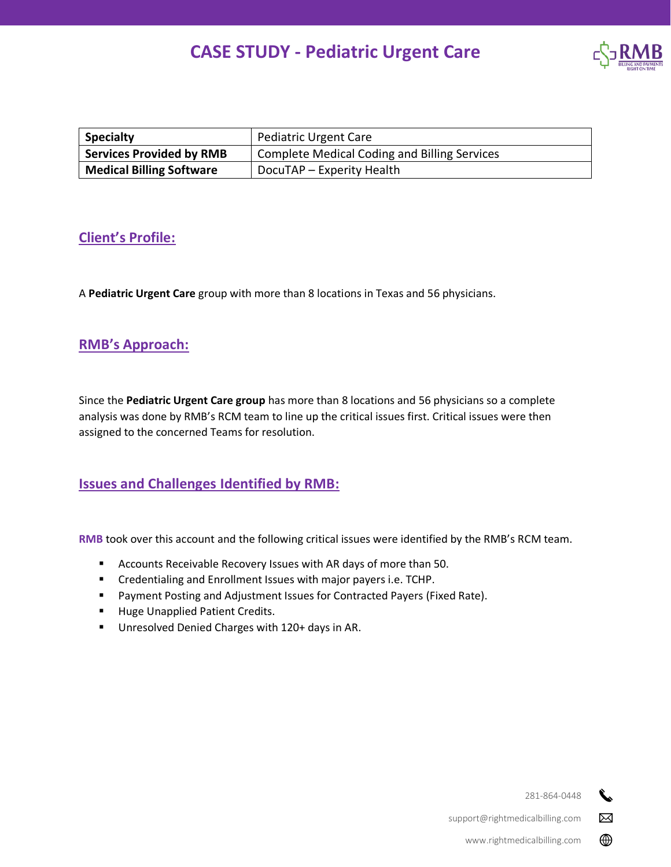# **CASE STUDY - Pediatric Urgent Care**



| <b>Specialty</b>                | Pediatric Urgent Care                               |
|---------------------------------|-----------------------------------------------------|
| <b>Services Provided by RMB</b> | <b>Complete Medical Coding and Billing Services</b> |
| <b>Medical Billing Software</b> | DocuTAP – Experity Health                           |

## **Client's Profile:**

A **Pediatric Urgent Care** group with more than 8 locations in Texas and 56 physicians.

## **RMB's Approach:**

Since the **Pediatric Urgent Care group** has more than 8 locations and 56 physicians so a complete analysis was done by RMB's RCM team to line up the critical issues first. Critical issues were then assigned to the concerned Teams for resolution.

## **Issues and Challenges Identified by RMB:**

**RMB** took over this account and the following critical issues were identified by the RMB's RCM team.

- Accounts Receivable Recovery Issues with AR days of more than 50.
- Credentialing and Enrollment Issues with major payers i.e. TCHP.
- Payment Posting and Adjustment Issues for Contracted Payers (Fixed Rate).
- Huge Unapplied Patient Credits.
- Unresolved Denied Charges with 120+ days in AR.

281-864-0448 s.

 $\boxtimes$ 

⊕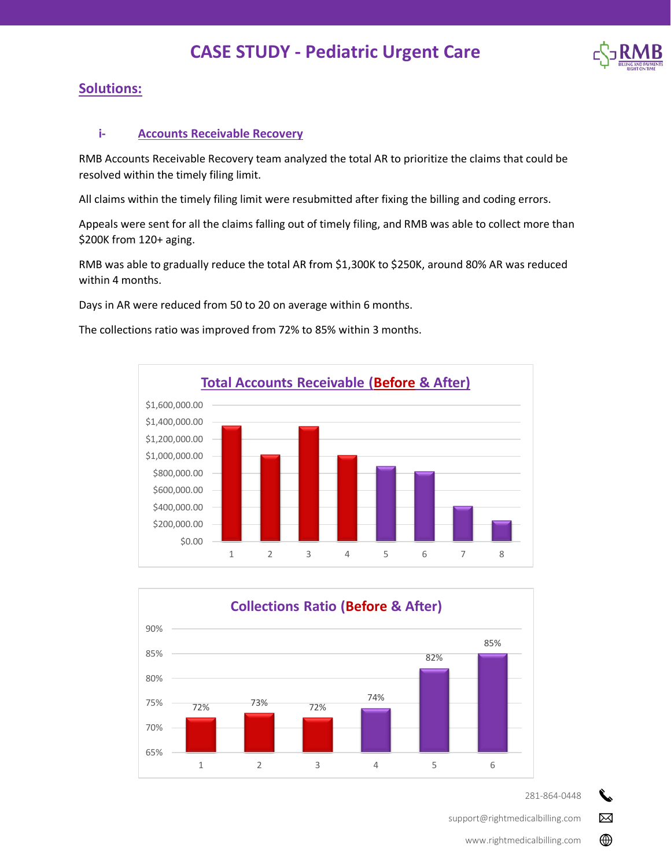# **CASE STUDY - Pediatric Urgent Care**



## **Solutions:**

#### **i- Accounts Receivable Recovery**

RMB Accounts Receivable Recovery team analyzed the total AR to prioritize the claims that could be resolved within the timely filing limit.

All claims within the timely filing limit were resubmitted after fixing the billing and coding errors.

Appeals were sent for all the claims falling out of timely filing, and RMB was able to collect more than \$200K from 120+ aging.

RMB was able to gradually reduce the total AR from \$1,300K to \$250K, around 80% AR was reduced within 4 months.

Days in AR were reduced from 50 to 20 on average within 6 months.

The collections ratio was improved from 72% to 85% within 3 months.





281-864-0448

r.

 $\boxtimes$ 

⊕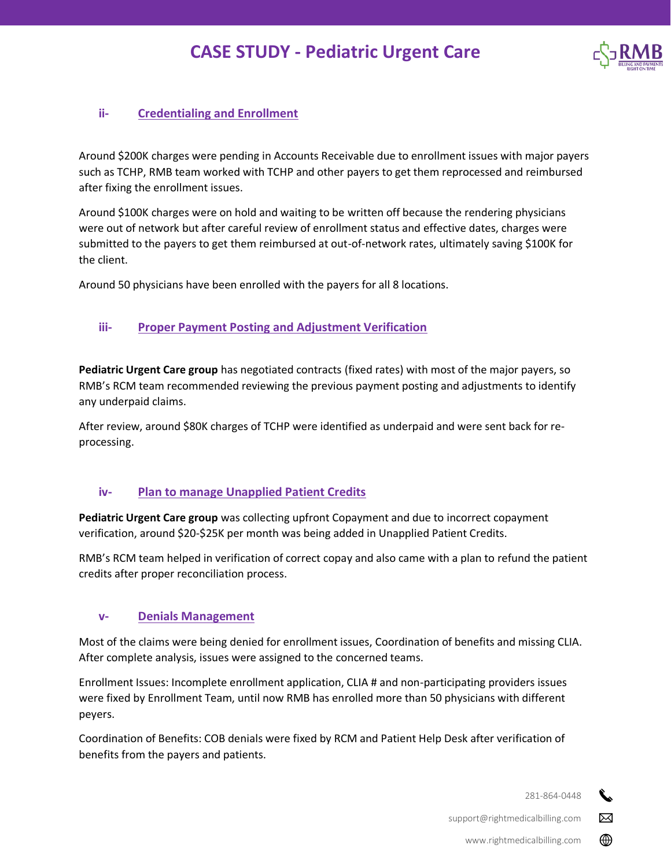

### **ii- Credentialing and Enrollment**

Around \$200K charges were pending in Accounts Receivable due to enrollment issues with major payers such as TCHP, RMB team worked with TCHP and other payers to get them reprocessed and reimbursed after fixing the enrollment issues.

Around \$100K charges were on hold and waiting to be written off because the rendering physicians were out of network but after careful review of enrollment status and effective dates, charges were submitted to the payers to get them reimbursed at out-of-network rates, ultimately saving \$100K for the client.

Around 50 physicians have been enrolled with the payers for all 8 locations.

### **iii- Proper Payment Posting and Adjustment Verification**

**Pediatric Urgent Care group** has negotiated contracts (fixed rates) with most of the major payers, so RMB's RCM team recommended reviewing the previous payment posting and adjustments to identify any underpaid claims.

After review, around \$80K charges of TCHP were identified as underpaid and were sent back for reprocessing.

#### **iv- Plan to manage Unapplied Patient Credits**

**Pediatric Urgent Care group** was collecting upfront Copayment and due to incorrect copayment verification, around \$20-\$25K per month was being added in Unapplied Patient Credits.

RMB's RCM team helped in verification of correct copay and also came with a plan to refund the patient credits after proper reconciliation process.

#### **v- Denials Management**

Most of the claims were being denied for enrollment issues, Coordination of benefits and missing CLIA. After complete analysis, issues were assigned to the concerned teams.

Enrollment Issues: Incomplete enrollment application, CLIA # and non-participating providers issues were fixed by Enrollment Team, until now RMB has enrolled more than 50 physicians with different peyers.

Coordination of Benefits: COB denials were fixed by RCM and Patient Help Desk after verification of benefits from the payers and patients.

281-864-0448

 $\boxtimes$ 

⊕